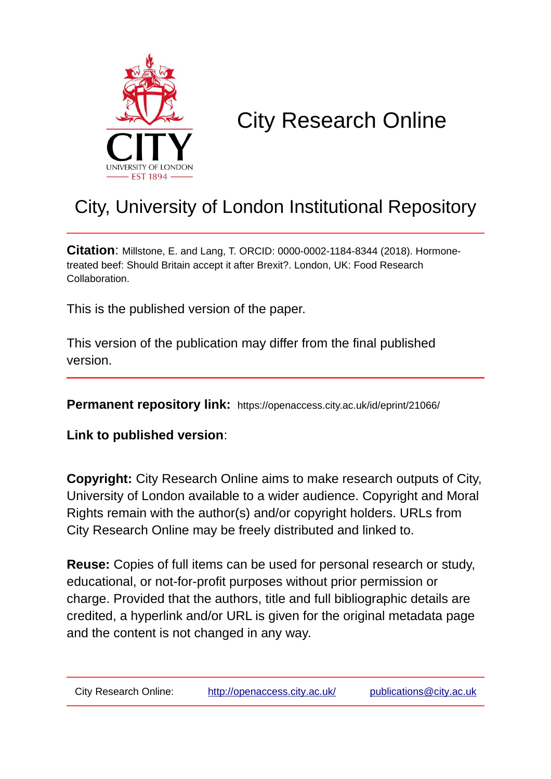

### City Research Online

#### City, University of London Institutional Repository

**Citation**: Millstone, E. and Lang, T. ORCID: 0000-0002-1184-8344 (2018). Hormonetreated beef: Should Britain accept it after Brexit?. London, UK: Food Research Collaboration.

This is the published version of the paper.

This version of the publication may differ from the final published version.

**Permanent repository link:** https://openaccess.city.ac.uk/id/eprint/21066/

**Link to published version**:

**Copyright:** City Research Online aims to make research outputs of City, University of London available to a wider audience. Copyright and Moral Rights remain with the author(s) and/or copyright holders. URLs from City Research Online may be freely distributed and linked to.

**Reuse:** Copies of full items can be used for personal research or study, educational, or not-for-profit purposes without prior permission or charge. Provided that the authors, title and full bibliographic details are credited, a hyperlink and/or URL is given for the original metadata page and the content is not changed in any way.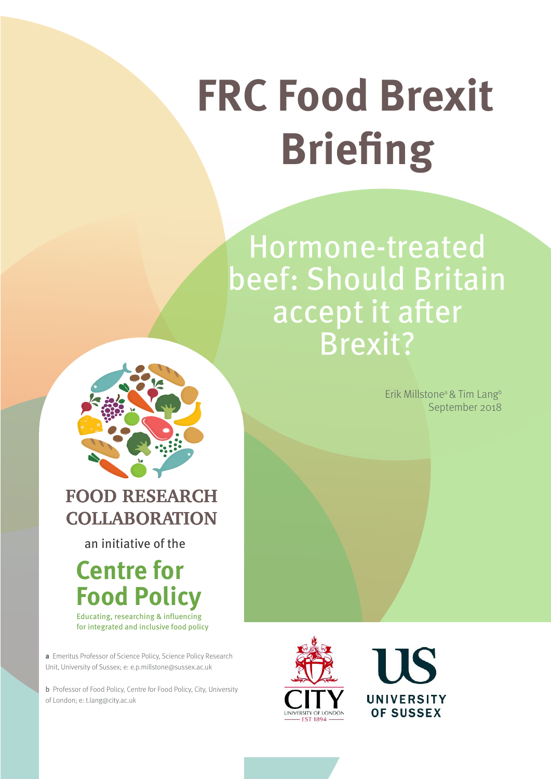# **FRC Food Brexit Briefing**

Hormone-treated beef: Should Britain accept it after Brexit?

> Erik Millstone<sup>a</sup> & Tim Lang<sup>b</sup> September 2018



#### **FOOD RESEARCH COLLABORATION**

an initiative of the

## **Centre for Food Policy**

for integrated and inclusive food policy Educating, researching & influencing

**a** Emeritus Professor of Science Policy, Science Policy Research Unit, University of Sussex; e: e.p.millstone@sussex.ac.uk

b Professor of Food Policy, Centre for Food Policy, City, University of London; e: t.lang@city.ac.uk



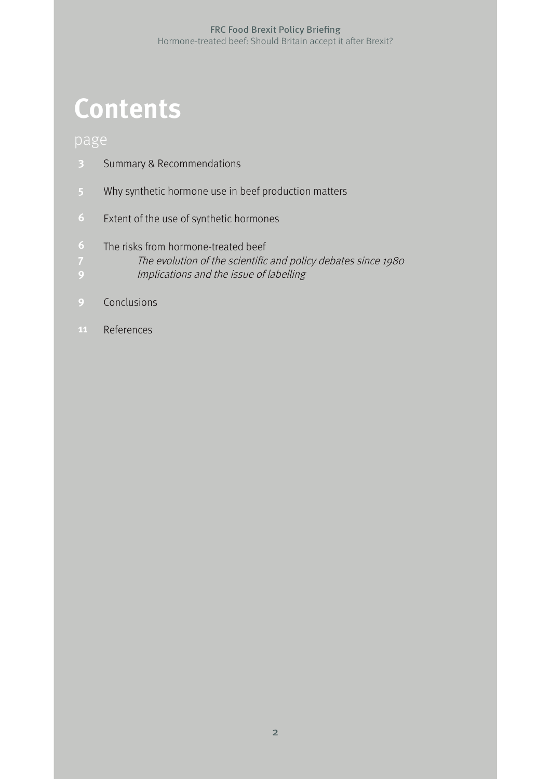## **Contents**

- Summary & Recommendations **3**
- Why synthetic hormone use in beef production matters
- Extent of the use of synthetic hormones
- The risks from hormone-treated beef
- The evolution of the scientific and policy debates since 1980
- Implications and the issue of labelling
- Conclusions
- References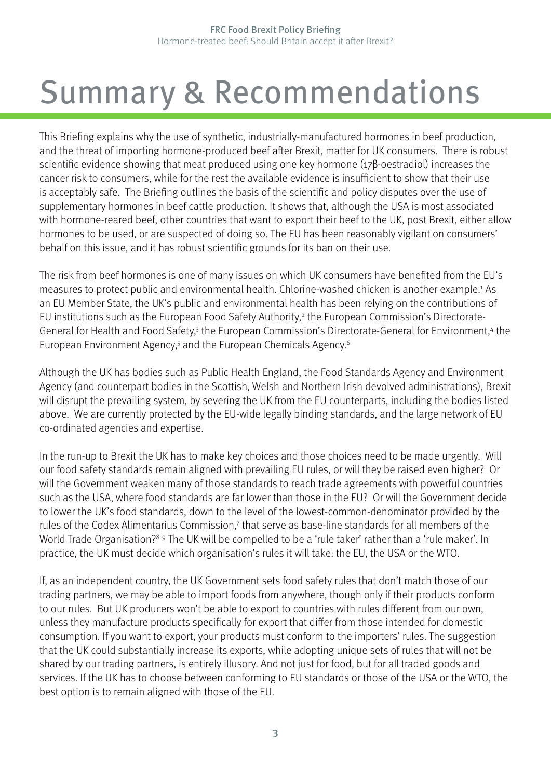## <span id="page-3-0"></span>Summary & Recommendations

This Briefing explains why the use of synthetic, industrially-manufactured hormones in beef production, and the threat of importing hormone-produced beef after Brexit, matter for UK consumers. There is robust scientific evidence showing that meat produced using one key hormone (17β-oestradiol) increases the cancer risk to consumers, while for the rest the available evidence is insufficient to show that their use is acceptably safe. The Briefing outlines the basis of the scientific and policy disputes over the use of supplementary hormones in beef cattle production. It shows that, although the USA is most associated with hormone-reared beef, other countries that want to export their beef to the UK, post Brexit, either allow hormones to be used, or are suspected of doing so. The EU has been reasonably vigilant on consumers' behalf on this issue, and it has robust scientific grounds for its ban on their use.

The risk from beef hormones is one of many issues on which UK consumers have benefited from the EU's measures to protect public and environmental health. Chlorine-washed chicken is another example.<sup>1</sup> As an EU Member State, the UK's public and environmental health has been relying on the contributions of EU institutions such as the European Food Safety Authority,<sup>[2](#page-11-0)</sup> the European Commission's Directorate-General for Health and Food Safety,<sup>3</sup> the European Commission's Directorate-General for Environment,<sup>[4](#page-11-0)</sup> the European Environment Agency,<sup>[5](#page-11-0)</sup> and the European Chemicals Agency.<sup>[6](#page-11-0)</sup>

Although the UK has bodies such as Public Health England, the Food Standards Agency and Environment Agency (and counterpart bodies in the Scottish, Welsh and Northern Irish devolved administrations), Brexit will disrupt the prevailing system, by severing the UK from the EU counterparts, including the bodies listed above. We are currently protected by the EU-wide legally binding standards, and the large network of EU co-ordinated agencies and expertise.

In the run-up to Brexit the UK has to make key choices and those choices need to be made urgently. Will our food safety standards remain aligned with prevailing EU rules, or will they be raised even higher? Or will the Government weaken many of those standards to reach trade agreements with powerful countries such as the USA, where food standards are far lower than those in the EU? Or will the Government decide to lower the UK's food standards, down to the level of the lowest-common-denominator provided by the rules of the Codex Alimentarius Commission,<sup>[7](#page-11-0)</sup> that serve as base-line standards for all members of the World Trade Organisation?<sup>[8](#page-11-0) [9](#page-11-0)</sup> The UK will be compelled to be a 'rule taker' rather than a 'rule maker'. In practice, the UK must decide which organisation's rules it will take: the EU, the USA or the WTO.

If, as an independent country, the UK Government sets food safety rules that don't match those of our trading partners, we may be able to import foods from anywhere, though only if their products conform to our rules. But UK producers won't be able to export to countries with rules different from our own, unless they manufacture products specifically for export that differ from those intended for domestic consumption. If you want to export, your products must conform to the importers' rules. The suggestion that the UK could substantially increase its exports, while adopting unique sets of rules that will not be shared by our trading partners, is entirely illusory. And not just for food, but for all traded goods and services. If the UK has to choose between conforming to EU standards or those of the USA or the WTO, the best option is to remain aligned with those of the EU.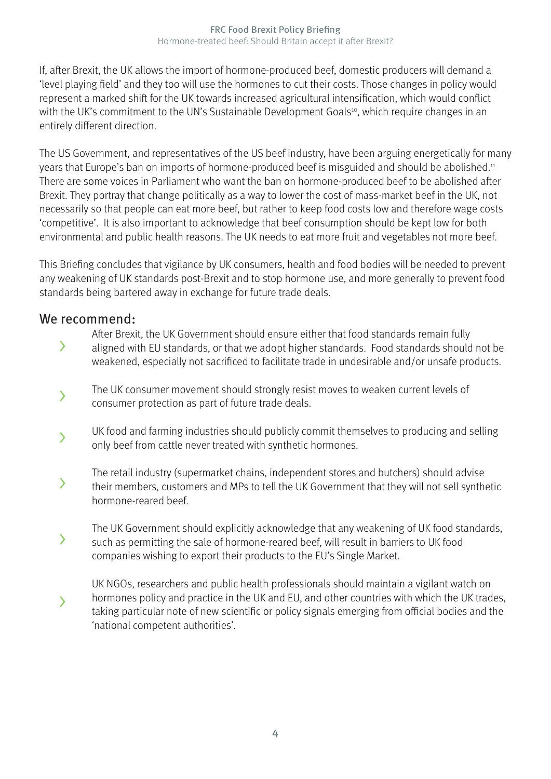<span id="page-4-0"></span>If, after Brexit, the UK allows the import of hormone-produced beef, domestic producers will demand a 'level playing field' and they too will use the hormones to cut their costs. Those changes in policy would represent a marked shift for the UK towards increased agricultural intensification, which would conflict with the UK's commitment to the UN's Sustainable Development Goals<sup>[10](#page-11-0)</sup>, which require changes in an entirely different direction.

The US Government, and representatives of the US beef industry, have been arguing energetically for many years that Europe's ban on imports of hormone-produced beef is misguided and should be abolished[.11](#page-11-0) There are some voices in Parliament who want the ban on hormone-produced beef to be abolished after Brexit. They portray that change politically as a way to lower the cost of mass-market beef in the UK, not necessarily so that people can eat more beef, but rather to keep food costs low and therefore wage costs 'competitive'. It is also important to acknowledge that beef consumption should be kept low for both environmental and public health reasons. The UK needs to eat more fruit and vegetables not more beef.

This Briefing concludes that vigilance by UK consumers, health and food bodies will be needed to prevent any weakening of UK standards post-Brexit and to stop hormone use, and more generally to prevent food standards being bartered away in exchange for future trade deals.

#### We recommend:

After Brexit, the UK Government should ensure either that food standards remain fully

- aligned with EU standards, or that we adopt higher standards. Food standards should not be weakened, especially not sacrificed to facilitate trade in undesirable and/or unsafe products. >
- The UK consumer movement should strongly resist moves to weaken current levels of consumer protection as part of future trade deals.  $\overline{\phantom{0}}$
- UK food and farming industries should publicly commit themselves to producing and selling only beef from cattle never treated with synthetic hormones. >
- The retail industry (supermarket chains, independent stores and butchers) should advise their members, customers and MPs to tell the UK Government that they will not sell synthetic hormone-reared beef. >
- The UK Government should explicitly acknowledge that any weakening of UK food standards, such as permitting the sale of hormone-reared beef, will result in barriers to UK food companies wishing to export their products to the EU's Single Market.  $\left\langle \right\rangle$
- UK NGOs, researchers and public health professionals should maintain a vigilant watch on hormones policy and practice in the UK and EU, and other countries with which the UK trades, taking particular note of new scientific or policy signals emerging from official bodies and the 'national competent authorities'. >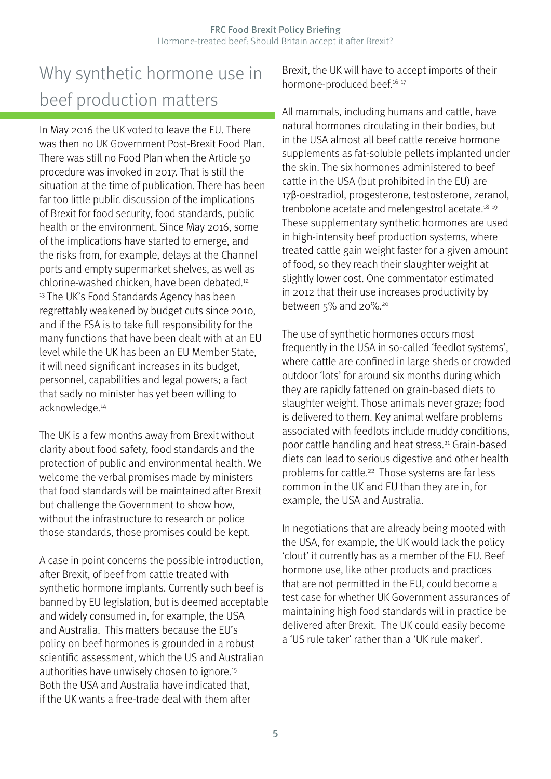#### <span id="page-5-0"></span>Why synthetic hormone use in beef production matters

In May 2016 the UK voted to leave the EU. There was then no UK Government Post-Brexit Food Plan. There was still no Food Plan when the Article 50 procedure was invoked in 2017. That is still the situation at the time of publication. There has been far too little public discussion of the implications of Brexit for food security, food standards, public health or the environment. Since May 2016, some of the implications have started to emerge, and the risks from, for example, delays at the Channel ports and empty supermarket shelves, as well as chlorine-washed chicken, have been debated.[12](#page-11-0) <sup>[13](#page-11-0)</sup> The UK's Food Standards Agency has been regrettably weakened by budget cuts since 2010, and if the FSA is to take full responsibility for the many functions that have been dealt with at an EU level while the UK has been an EU Member State, it will need significant increases in its budget, personnel, capabilities and legal powers; a fact that sadly no minister has yet been willing to acknowledge.[14](#page-11-0) 

The UK is a few months away from Brexit without clarity about food safety, food standards and the protection of public and environmental health. We welcome the verbal promises made by ministers that food standards will be maintained after Brexit but challenge the Government to show how, without the infrastructure to research or police those standards, those promises could be kept.

A case in point concerns the possible introduction, after Brexit, of beef from cattle treated with synthetic hormone implants. Currently such beef is banned by EU legislation, but is deemed acceptable and widely consumed in, for example, the USA and Australia. This matters because the EU's policy on beef hormones is grounded in a robust scientific assessment, which the US and Australian authorities have unwisely chosen to ignore.<sup>15</sup> Both the USA and Australia have indicated that, if the UK wants a free-trade deal with them after

Brexit, the UK will have to accept imports of their hormone-produced beef.<sup>16</sup> <sup>[17](#page-11-0)</sup>

All mammals, including humans and cattle, have natural hormones circulating in their bodies, but in the USA almost all beef cattle receive hormone supplements as fat-soluble pellets implanted under the skin. The six hormones administered to beef cattle in the USA (but prohibited in the EU) are 17β-oestradiol, progesterone, testosterone, zeranol, trenbolone acetate and melengestrol acetate[.18](#page-11-0) [19](#page-11-0)  These supplementary synthetic hormones are used in high-intensity beef production systems, where treated cattle gain weight faster for a given amount of food, so they reach their slaughter weight at slightly lower cost. One commentator estimated in 2012 that their use increases productivity by between 5% and [20](#page-11-0)%.<sup>20</sup>

The use of synthetic hormones occurs most frequently in the USA in so-called 'feedlot systems', where cattle are confined in large sheds or crowded outdoor 'lots' for around six months during which they are rapidly fattened on grain-based diets to slaughter weight. Those animals never graze; food is delivered to them. Key animal welfare problems associated with feedlots include muddy conditions, poor cattle handling and heat stress[.21](#page-11-0) Grain-based diets can lead to serious digestive and other health problems for cattle.<sup>22</sup> Those systems are far less common in the UK and EU than they are in, for example, the USA and Australia.

In negotiations that are already being mooted with the USA, for example, the UK would lack the policy 'clout' it currently has as a member of the EU. Beef hormone use, like other products and practices that are not permitted in the EU, could become a test case for whether UK Government assurances of maintaining high food standards will in practice be delivered after Brexit. The UK could easily become a 'US rule taker' rather than a 'UK rule maker'.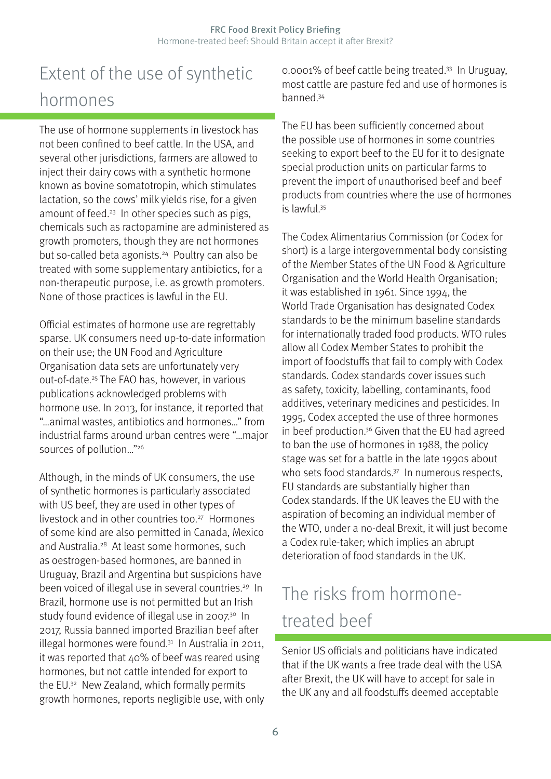### <span id="page-6-0"></span>Extent of the use of synthetic hormones

The use of hormone supplements in livestock has not been confined to beef cattle. In the USA, and several other jurisdictions, farmers are allowed to inject their dairy cows with a synthetic hormone known as bovine somatotropin, which stimulates lactation, so the cows' milk yields rise, for a given amount of feed.<sup>23</sup> In other species such as pigs, chemicals such as ractopamine are administered as growth promoters, though they are not hormones but so-called beta agonists.<sup>24</sup> Poultry can also be treated with some supplementary antibiotics, for a non-therapeutic purpose, i.e. as growth promoters. None of those practices is lawful in the EU.

Official estimates of hormone use are regrettably sparse. UK consumers need up-to-date information on their use; the UN Food and Agriculture Organisation data sets are unfortunately very out-of-date.[25](#page-11-0) The FAO has, however, in various publications acknowledged problems with hormone use. In 2013, for instance, it reported that "…animal wastes, antibiotics and hormones…" from industrial farms around urban centres were "…major sources of pollution…["26](#page-12-0)

Although, in the minds of UK consumers, the use of synthetic hormones is particularly associated with US beef, they are used in other types of livestock and in other countries too.<sup>27</sup> Hormones of some kind are also permitted in Canada, Mexico and Australia[.28](#page-12-0) At least some hormones, such as oestrogen-based hormones, are banned in Uruguay, Brazil and Argentina but suspicions have been voiced of illegal use in several countries.<sup>29</sup> In Brazil, hormone use is not permitted but an Irish study found evidence of illegal use in 2007.<sup>30</sup> In 2017, Russia banned imported Brazilian beef after illegal hormones were found. $31$  In Australia in 2011, it was reported that 40% of beef was reared using hormones, but not cattle intended for export to the EU[.32](#page-12-0) New Zealand, which formally permits growth hormones, reports negligible use, with only 0.0001% of beef cattle being treated[.33](#page-12-0) In Uruguay, most cattle are pasture fed and use of hormones is banned[.34](#page-12-0) 

The EU has been sufficiently concerned about the possible use of hormones in some countries seeking to export beef to the EU for it to designate special production units on particular farms to prevent the import of unauthorised beef and beef products from countries where the use of hormones is lawful[.35](#page-12-0)

The Codex Alimentarius Commission (or Codex for short) is a large intergovernmental body consisting of the Member States of the UN Food & Agriculture Organisation and the World Health Organisation; it was established in 1961. Since 1994, the World Trade Organisation has designated Codex standards to be the minimum baseline standards for internationally traded food products. WTO rules allow all Codex Member States to prohibit the import of foodstuffs that fail to comply with Codex standards. Codex standards cover issues such as safety, toxicity, labelling, contaminants, food additives, veterinary medicines and pesticides. In 1995, Codex accepted the use of three hormones in beef production.<sup>36</sup> Given that the EU had agreed to ban the use of hormones in 1988, the policy stage was set for a battle in the late 1990s about who sets food standards.<sup>37</sup> In numerous respects, EU standards are substantially higher than Codex standards. If the UK leaves the EU with the aspiration of becoming an individual member of the WTO, under a no-deal Brexit, it will just become a Codex rule-taker; which implies an abrupt deterioration of food standards in the UK.

#### The risks from hormonetreated beef

Senior US officials and politicians have indicated that if the UK wants a free trade deal with the USA after Brexit, the UK will have to accept for sale in the UK any and all foodstuffs deemed acceptable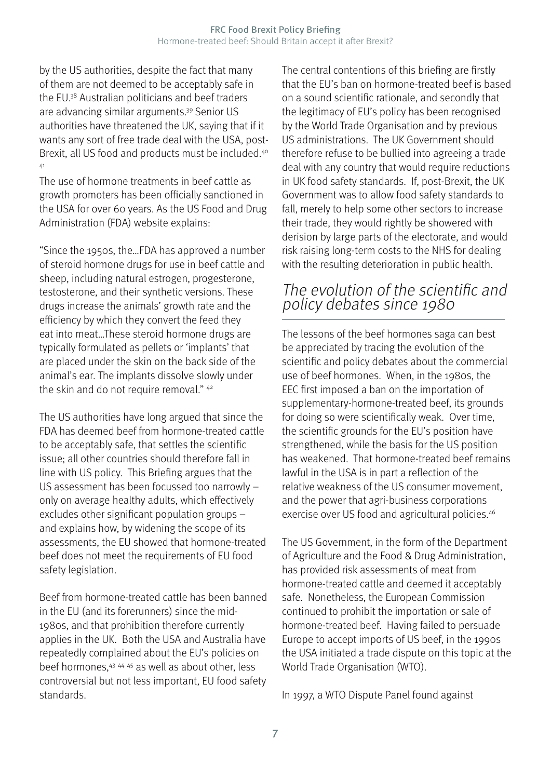<span id="page-7-0"></span>by the US authorities, despite the fact that many of them are not deemed to be acceptably safe in the EU[.38](#page-12-0) Australian politicians and beef traders are advancing similar arguments[.39](#page-12-0) Senior US authorities have threatened the UK, saying that if it wants any sort of free trade deal with the USA, post-Brexit, all US food and products must be included.[40](#page-12-0) [41](#page-12-0)

The use of hormone treatments in beef cattle as growth promoters has been officially sanctioned in the USA for over 60 years. As the US Food and Drug Administration (FDA) website explains:

"Since the 1950s, the…FDA has approved a number of steroid hormone drugs for use in beef cattle and sheep, including natural estrogen, progesterone, testosterone, and their synthetic versions. These drugs increase the animals' growth rate and the efficiency by which they convert the feed they eat into meat…These steroid hormone drugs are typically formulated as pellets or 'implants' that are placed under the skin on the back side of the animal's ear. The implants dissolve slowly under the skin and do not require removal." <sup>42</sup>

The US authorities have long argued that since the FDA has deemed beef from hormone-treated cattle to be acceptably safe, that settles the scientific issue; all other countries should therefore fall in line with US policy. This Briefing argues that the US assessment has been focussed too narrowly – only on average healthy adults, which effectively excludes other significant population groups – and explains how, by widening the scope of its assessments, the EU showed that hormone-treated beef does not meet the requirements of EU food safety legislation.

Beef from hormone-treated cattle has been banned in the EU (and its forerunners) since the mid-1980s, and that prohibition therefore currently applies in the UK. Both the USA and Australia have repeatedly complained about the EU's policies on beef hormones,[43](#page-12-0) [44](#page-12-0) [45](#page-12-0) as well as about other, less controversial but not less important, EU food safety standards.

The central contentions of this briefing are firstly that the EU's ban on hormone-treated beef is based on a sound scientific rationale, and secondly that the legitimacy of EU's policy has been recognised by the World Trade Organisation and by previous US administrations. The UK Government should therefore refuse to be bullied into agreeing a trade deal with any country that would require reductions in UK food safety standards. If, post-Brexit, the UK Government was to allow food safety standards to fall, merely to help some other sectors to increase their trade, they would rightly be showered with derision by large parts of the electorate, and would risk raising long-term costs to the NHS for dealing with the resulting deterioration in public health.

#### The evolution of the scientific and policy debates since 1980

The lessons of the beef hormones saga can best be appreciated by tracing the evolution of the scientific and policy debates about the commercial use of beef hormones. When, in the 1980s, the EEC first imposed a ban on the importation of supplementary-hormone-treated beef, its grounds for doing so were scientifically weak. Over time, the scientific grounds for the EU's position have strengthened, while the basis for the US position has weakened. That hormone-treated beef remains lawful in the USA is in part a reflection of the relative weakness of the US consumer movement, and the power that agri-business corporations exercise over US food and agricultural policies.<sup>46</sup>

The US Government, in the form of the Department of Agriculture and the Food & Drug Administration, has provided risk assessments of meat from hormone-treated cattle and deemed it acceptably safe. Nonetheless, the European Commission continued to prohibit the importation or sale of hormone-treated beef. Having failed to persuade Europe to accept imports of US beef, in the 1990s the USA initiated a trade dispute on this topic at the World Trade Organisation (WTO).

In 1997, a WTO Dispute Panel found against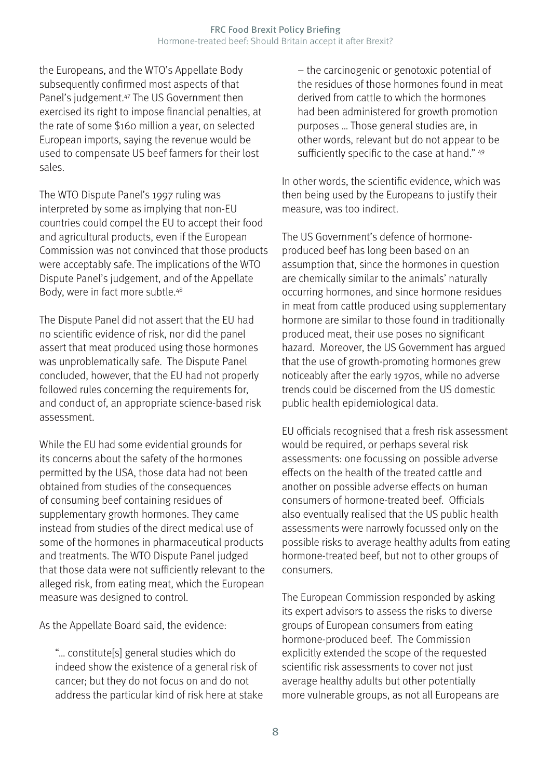<span id="page-8-0"></span>the Europeans, and the WTO's Appellate Body subsequently confirmed most aspects of that Panel's judgement[.47](#page-12-0) The US Government then exercised its right to impose financial penalties, at the rate of some \$160 million a year, on selected European imports, saying the revenue would be used to compensate US beef farmers for their lost sales.

The WTO Dispute Panel's 1997 ruling was interpreted by some as implying that non-EU countries could compel the EU to accept their food and agricultural products, even if the European Commission was not convinced that those products were acceptably safe. The implications of the WTO Dispute Panel's judgement, and of the Appellate Body, were in fact more subtle[.48](#page-12-0)

The Dispute Panel did not assert that the EU had no scientific evidence of risk, nor did the panel assert that meat produced using those hormones was unproblematically safe. The Dispute Panel concluded, however, that the EU had not properly followed rules concerning the requirements for, and conduct of, an appropriate science-based risk assessment.

While the EU had some evidential grounds for its concerns about the safety of the hormones permitted by the USA, those data had not been obtained from studies of the consequences of consuming beef containing residues of supplementary growth hormones. They came instead from studies of the direct medical use of some of the hormones in pharmaceutical products and treatments. The WTO Dispute Panel judged that those data were not sufficiently relevant to the alleged risk, from eating meat, which the European measure was designed to control.

As the Appellate Board said, the evidence:

"… constitute[s] general studies which do indeed show the existence of a general risk of cancer; but they do not focus on and do not address the particular kind of risk here at stake – the carcinogenic or genotoxic potential of the residues of those hormones found in meat derived from cattle to which the hormones had been administered for growth promotion purposes … Those general studies are, in other words, relevant but do not appear to be sufficiently specific to the case at hand." [49](#page-13-0)

In other words, the scientific evidence, which was then being used by the Europeans to justify their measure, was too indirect.

The US Government's defence of hormoneproduced beef has long been based on an assumption that, since the hormones in question are chemically similar to the animals' naturally occurring hormones, and since hormone residues in meat from cattle produced using supplementary hormone are similar to those found in traditionally produced meat, their use poses no significant hazard. Moreover, the US Government has argued that the use of growth-promoting hormones grew noticeably after the early 1970s, while no adverse trends could be discerned from the US domestic public health epidemiological data.

EU officials recognised that a fresh risk assessment would be required, or perhaps several risk assessments: one focussing on possible adverse effects on the health of the treated cattle and another on possible adverse effects on human consumers of hormone-treated beef. Officials also eventually realised that the US public health assessments were narrowly focussed only on the possible risks to average healthy adults from eating hormone-treated beef, but not to other groups of consumers.

The European Commission responded by asking its expert advisors to assess the risks to diverse groups of European consumers from eating hormone-produced beef. The Commission explicitly extended the scope of the requested scientific risk assessments to cover not just average healthy adults but other potentially more vulnerable groups, as not all Europeans are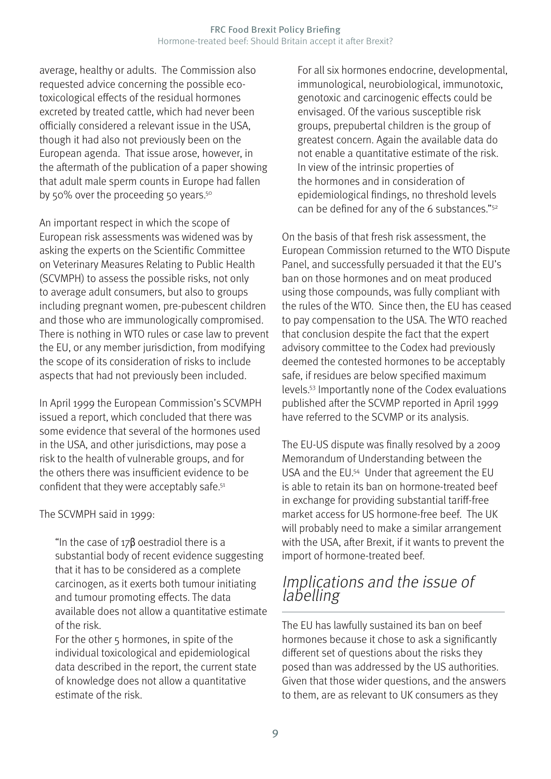<span id="page-9-0"></span>average, healthy or adults. The Commission also requested advice concerning the possible ecotoxicological effects of the residual hormones excreted by treated cattle, which had never been officially considered a relevant issue in the USA, though it had also not previously been on the European agenda. That issue arose, however, in the aftermath of the publication of a paper showing that adult male sperm counts in Europe had fallen by 50% over the proceeding 50 years.<sup>50</sup>

An important respect in which the scope of European risk assessments was widened was by asking the experts on the Scientific Committee on Veterinary Measures Relating to Public Health (SCVMPH) to assess the possible risks, not only to average adult consumers, but also to groups including pregnant women, pre-pubescent children and those who are immunologically compromised. There is nothing in WTO rules or case law to prevent the EU, or any member jurisdiction, from modifying the scope of its consideration of risks to include aspects that had not previously been included.

In April 1999 the European Commission's SCVMPH issued a report, which concluded that there was some evidence that several of the hormones used in the USA, and other jurisdictions, may pose a risk to the health of vulnerable groups, and for the others there was insufficient evidence to be confident that they were acceptably safe.<sup>51</sup>

The SCVMPH said in 1999:

"In the case of  $17\beta$  oestradiol there is a substantial body of recent evidence suggesting that it has to be considered as a complete carcinogen, as it exerts both tumour initiating and tumour promoting effects. The data available does not allow a quantitative estimate of the risk.

For the other 5 hormones, in spite of the individual toxicological and epidemiological data described in the report, the current state of knowledge does not allow a quantitative estimate of the risk.

For all six hormones endocrine, developmental, immunological, neurobiological, immunotoxic, genotoxic and carcinogenic effects could be envisaged. Of the various susceptible risk groups, prepubertal children is the group of greatest concern. Again the available data do not enable a quantitative estimate of the risk. In view of the intrinsic properties of the hormones and in consideration of epidemiological findings, no threshold levels can be defined for any of the 6 substances."<sup>[52](#page-13-0)</sup>

On the basis of that fresh risk assessment, the European Commission returned to the WTO Dispute Panel, and successfully persuaded it that the EU's ban on those hormones and on meat produced using those compounds, was fully compliant with the rules of the WTO. Since then, the EU has ceased to pay compensation to the USA. The WTO reached that conclusion despite the fact that the expert advisory committee to the Codex had previously deemed the contested hormones to be acceptably safe, if residues are below specified maximum levels[.53](#page-13-0) Importantly none of the Codex evaluations published after the SCVMP reported in April 1999 have referred to the SCVMP or its analysis.

The EU-US dispute was finally resolved by a 2009 Memorandum of Understanding between the USA and the EU[.54](#page-13-0) Under that agreement the EU is able to retain its ban on hormone-treated beef in exchange for providing substantial tariff-free market access for US hormone-free beef. The UK will probably need to make a similar arrangement with the USA, after Brexit, if it wants to prevent the import of hormone-treated beef.

#### Implications and the issue of labelling

The EU has lawfully sustained its ban on beef hormones because it chose to ask a significantly different set of questions about the risks they posed than was addressed by the US authorities. Given that those wider questions, and the answers to them, are as relevant to UK consumers as they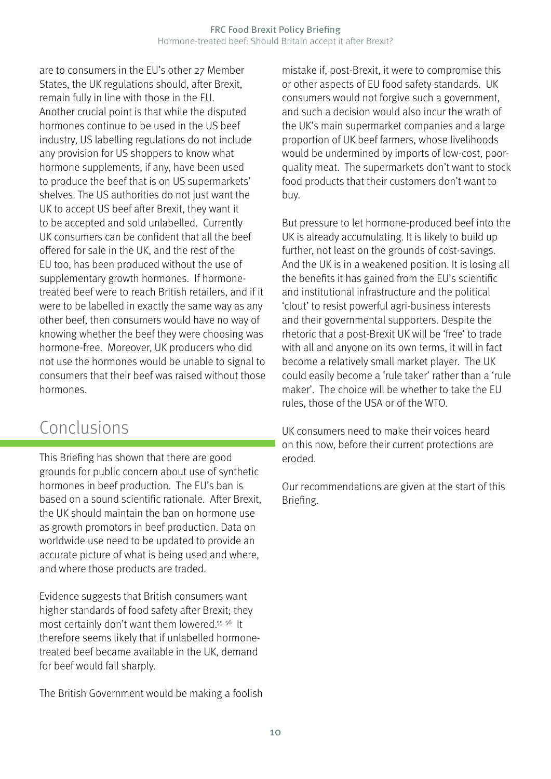<span id="page-10-0"></span>are to consumers in the EU's other 27 Member States, the UK regulations should, after Brexit, remain fully in line with those in the EU. Another crucial point is that while the disputed hormones continue to be used in the US beef industry, US labelling regulations do not include any provision for US shoppers to know what hormone supplements, if any, have been used to produce the beef that is on US supermarkets' shelves. The US authorities do not just want the UK to accept US beef after Brexit, they want it to be accepted and sold unlabelled. Currently UK consumers can be confident that all the beef offered for sale in the UK, and the rest of the EU too, has been produced without the use of supplementary growth hormones. If hormonetreated beef were to reach British retailers, and if it were to be labelled in exactly the same way as any other beef, then consumers would have no way of knowing whether the beef they were choosing was hormone-free. Moreover, UK producers who did not use the hormones would be unable to signal to consumers that their beef was raised without those hormones.

#### Conclusions

This Briefing has shown that there are good grounds for public concern about use of synthetic hormones in beef production. The EU's ban is based on a sound scientific rationale. After Brexit, the UK should maintain the ban on hormone use as growth promotors in beef production. Data on worldwide use need to be updated to provide an accurate picture of what is being used and where, and where those products are traded.

Evidence suggests that British consumers want higher standards of food safety after Brexit; they most certainly don't want them lowered[.55](#page-13-0) [56](#page-13-0) It therefore seems likely that if unlabelled hormonetreated beef became available in the UK, demand for beef would fall sharply.

The British Government would be making a foolish

mistake if, post-Brexit, it were to compromise this or other aspects of EU food safety standards. UK consumers would not forgive such a government, and such a decision would also incur the wrath of the UK's main supermarket companies and a large proportion of UK beef farmers, whose livelihoods would be undermined by imports of low-cost, poorquality meat. The supermarkets don't want to stock food products that their customers don't want to buy.

But pressure to let hormone-produced beef into the UK is already accumulating. It is likely to build up further, not least on the grounds of cost-savings. And the UK is in a weakened position. It is losing all the benefits it has gained from the EU's scientific and institutional infrastructure and the political 'clout' to resist powerful agri-business interests and their governmental supporters. Despite the rhetoric that a post-Brexit UK will be 'free' to trade with all and anyone on its own terms, it will in fact become a relatively small market player. The UK could easily become a 'rule taker' rather than a 'rule maker'. The choice will be whether to take the EU rules, those of the USA or of the WTO.

UK consumers need to make their voices heard on this now, before their current protections are eroded.

Our recommendations are given at the start of this Briefing.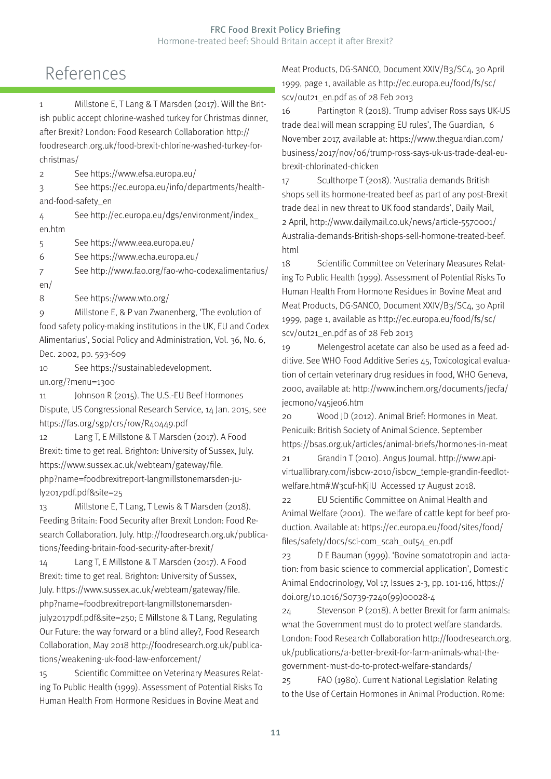#### <span id="page-11-0"></span>References

[1](#page-3-0) Millstone E, T Lang & T Marsden (2017). Will the British public accept chlorine-washed turkey for Christmas dinner, after Brexit? London: Food Research Collaboration http:// foodresearch.org.uk/food-brexit-chlorine-washed-turkey-forchristmas/

[2](#page-3-0) See https://www.efsa.europa.eu/

[3](#page-3-0) See https://ec.europa.eu/info/departments/healthand-food-safety\_en

[4](#page-3-0) See http://ec.europa.eu/dgs/environment/index\_ en.htm

[5](#page-3-0) See https://www.eea.europa.eu/

[6](#page-3-0) See https://www.echa.europa.eu/

[7](#page-3-0) See http://www.fao.org/fao-who-codexalimentarius/ en/

[8](#page-3-0) See https://www.wto.org/

[9](#page-3-0) Millstone E, & P van Zwanenberg, 'The evolution of food safety policy-making institutions in the UK, EU and Codex Alimentarius', Social Policy and Administration, Vol. 36, No. 6, Dec. 2002, pp. 593-609

[10](#page-4-0) See https://sustainabledevelopment. un.org/?menu=1300

[11](#page-4-0) Johnson R (2015). The U.S.-EU Beef Hormones Dispute, US Congressional Research Service, 14 Jan. 2015, see https://fas.org/sgp/crs/row/R40449.pdf

[12](#page-5-0) Lang T, E Millstone & T Marsden (2017). A Food Brexit: time to get real. Brighton: University of Sussex, July. https://www.sussex.ac.uk/webteam/gateway/file. php?name=foodbrexitreport-langmillstonemarsden-july2017pdf.pdf&site=25

[13](#page-5-0) Millstone E, T Lang, T Lewis & T Marsden (2018). Feeding Britain: Food Security after Brexit London: Food Research Collaboration. July. http://foodresearch.org.uk/publications/feeding-britain-food-security-after-brexit/

[14](#page-5-0) Lang T, E Millstone & T Marsden (2017). A Food Brexit: time to get real. Brighton: University of Sussex, July. https://www.sussex.ac.uk/webteam/gateway/file.

php?name=foodbrexitreport-langmillstonemarsden-

july2017pdf.pdf&site=250; E Millstone & T Lang, Regulating Our Future: the way forward or a blind alley?, Food Research Collaboration, May 2018 http://foodresearch.org.uk/publications/weakening-uk-food-law-enforcement/

[15](#page-5-0) Scientific Committee on Veterinary Measures Relating To Public Health (1999). Assessment of Potential Risks To Human Health From Hormone Residues in Bovine Meat and

Meat Products, DG-SANCO, Document XXIV/B3/SC4, 30 April 1999, page 1, available as http://ec.europa.eu/food/fs/sc/ scv/out21\_en.pdf as of 28 Feb 2013

[16](#page-5-0) Partington R (2018). 'Trump adviser Ross says UK-US trade deal will mean scrapping EU rules', The Guardian, 6 November 2017, available at: https://www.theguardian.com/ business/2017/nov/06/trump-ross-says-uk-us-trade-deal-eubrexit-chlorinated-chicken

[17](#page-5-0) Sculthorpe T (2018). 'Australia demands British shops sell its hormone-treated beef as part of any post-Brexit trade deal in new threat to UK food standards', Daily Mail, 2 April, http://www.dailymail.co.uk/news/article-5570001/ Australia-demands-British-shops-sell-hormone-treated-beef. html

[18](#page-5-0) Scientific Committee on Veterinary Measures Relating To Public Health (1999). Assessment of Potential Risks To Human Health From Hormone Residues in Bovine Meat and Meat Products, DG-SANCO, Document XXIV/B3/SC4, 30 April 1999, page 1, available as http://ec.europa.eu/food/fs/sc/ scv/out21\_en.pdf as of 28 Feb 2013

[19](#page-5-0) Melengestrol acetate can also be used as a feed additive. See WHO Food Additive Series 45, Toxicological evaluation of certain veterinary drug residues in food, WHO Geneva, 2000, available at: http://www.inchem.org/documents/jecfa/ jecmono/v45je06.htm

[20](#page-5-0) Wood JD (2012). Animal Brief: Hormones in Meat. Penicuik: British Society of Animal Science. September https://bsas.org.uk/articles/animal-briefs/hormones-in-meat

[21](#page-5-0) Grandin T (2010). Angus Journal. http://www.apivirtuallibrary.com/isbcw-2010/isbcw\_temple-grandin-feedlotwelfare.htm#.W3cuf-hKjIU Accessed 17 August 2018.

[22](#page-5-0) EU Scientific Committee on Animal Health and Animal Welfare (2001). The welfare of cattle kept for beef production. Available at: https://ec.europa.eu/food/sites/food/ files/safety/docs/sci-com\_scah\_out54\_en.pdf

[23](#page-6-0) D E Bauman (1999). 'Bovine somatotropin and lactation: from basic science to commercial application', Domestic Animal Endocrinology, Vol 17, Issues 2-3, pp. 101-116, https:// doi.org/10.1016/S0739-7240(99)00028-4

[24](#page-6-0) Stevenson P (2018). A better Brexit for farm animals: what the Government must do to protect welfare standards. London: Food Research Collaboration http://foodresearch.org. uk/publications/a-better-brexit-for-farm-animals-what-thegovernment-must-do-to-protect-welfare-standards/

[25](#page-6-0) FAO (1980). Current National Legislation Relating to the Use of Certain Hormones in Animal Production. Rome: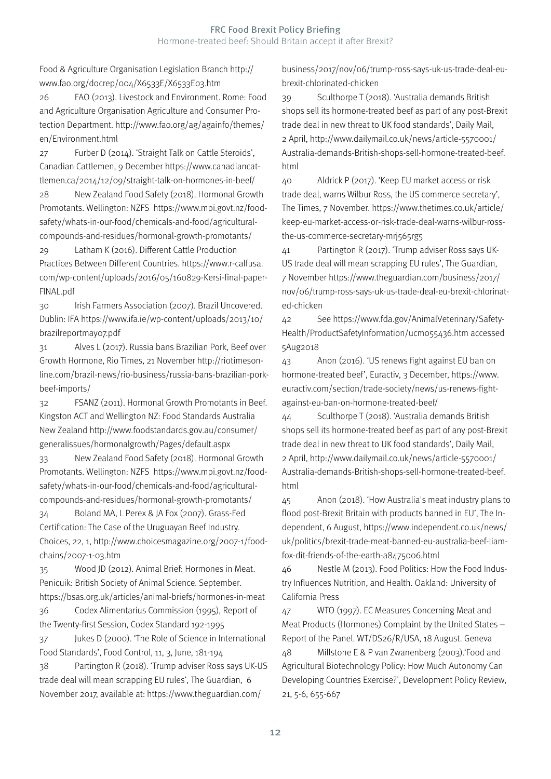<span id="page-12-0"></span>Food & Agriculture Organisation Legislation Branch http:// www.fao.org/docrep/004/X6533E/X6533E03.htm

[26](#page-6-0) FAO (2013). Livestock and Environment. Rome: Food and Agriculture Organisation Agriculture and Consumer Protection Department. http://www.fao.org/ag/againfo/themes/ en/Environment.html

[27](#page-6-0) Furber D (2014). 'Straight Talk on Cattle Steroids', Canadian Cattlemen, 9 December https://www.canadiancattlemen.ca/2014/12/09/straight-talk-on-hormones-in-beef/

[28](#page-6-0) New Zealand Food Safety (2018). Hormonal Growth Promotants. Wellington: NZFS https://www.mpi.govt.nz/foodsafety/whats-in-our-food/chemicals-and-food/agriculturalcompounds-and-residues/hormonal-growth-promotants/

[29](#page-6-0) Latham K (2016). Different Cattle Production Practices Between Different Countries. https://www.r-calfusa. com/wp-content/uploads/2016/05/160829-Kersi-final-paper-FINAL.pdf

[30](#page-6-0) Irish Farmers Association (2007). Brazil Uncovered. Dublin: IFA https://www.ifa.ie/wp-content/uploads/2013/10/ brazilreportmay07.pdf

[31](#page-6-0) Alves L (2017). Russia bans Brazilian Pork, Beef over Growth Hormone, Rio Times, 21 November http://riotimesonline.com/brazil-news/rio-business/russia-bans-brazilian-porkbeef-imports/

[32](#page-6-0) FSANZ (2011). Hormonal Growth Promotants in Beef. Kingston ACT and Wellington NZ: Food Standards Australia New Zealand http://www.foodstandards.gov.au/consumer/ generalissues/hormonalgrowth/Pages/default.aspx

[33](#page-6-0) New Zealand Food Safety (2018). Hormonal Growth Promotants. Wellington: NZFS https://www.mpi.govt.nz/foodsafety/whats-in-our-food/chemicals-and-food/agriculturalcompounds-and-residues/hormonal-growth-promotants/

[34](#page-6-0) Boland MA, L Perex & JA Fox (2007). Grass-Fed Certification: The Case of the Uruguayan Beef Industry. Choices, 22, 1, http://www.choicesmagazine.org/2007-1/foodchains/2007-1-03.htm

[35](#page-6-0) Wood JD (2012). Animal Brief: Hormones in Meat. Penicuik: British Society of Animal Science. September. https://bsas.org.uk/articles/animal-briefs/hormones-in-meat

[36](#page-6-0) Codex Alimentarius Commission (1995), Report of the Twenty-first Session, Codex Standard 192-1995

[37](#page-6-0) Jukes D (2000). 'The Role of Science in International Food Standards', Food Control, 11, 3, June, 181-194

[38](#page-7-0) Partington R (2018). 'Trump adviser Ross says UK-US trade deal will mean scrapping EU rules', The Guardian, 6 November 2017, available at: https://www.theguardian.com/

business/2017/nov/06/trump-ross-says-uk-us-trade-deal-eubrexit-chlorinated-chicken

[39](#page-7-0) Sculthorpe T (2018). 'Australia demands British shops sell its hormone-treated beef as part of any post-Brexit trade deal in new threat to UK food standards', Daily Mail, 2 April, http://www.dailymail.co.uk/news/article-5570001/ Australia-demands-British-shops-sell-hormone-treated-beef. html

[40](#page-7-0) Aldrick P (2017). 'Keep EU market access or risk trade deal, warns Wilbur Ross, the US commerce secretary', The Times, 7 November. https://www.thetimes.co.uk/article/ keep-eu-market-access-or-risk-trade-deal-warns-wilbur-rossthe-us-commerce-secretary-mrj565rg5

[41](#page-7-0) Partington R (2017). 'Trump adviser Ross says UK-US trade deal will mean scrapping EU rules', The Guardian, 7 November https://www.theguardian.com/business/2017/ nov/06/trump-ross-says-uk-us-trade-deal-eu-brexit-chlorinated-chicken

[42](#page-7-0) See https://www.fda.gov/AnimalVeterinary/Safety-Health/ProductSafetyInformation/ucm055436.htm accessed 5Aug2018

[43](#page-7-0) Anon (2016). 'US renews fight against EU ban on hormone-treated beef', Euractiv, 3 December, https://www. euractiv.com/section/trade-society/news/us-renews-fightagainst-eu-ban-on-hormone-treated-beef/

[44](#page-7-0) Sculthorpe T (2018). 'Australia demands British shops sell its hormone-treated beef as part of any post-Brexit trade deal in new threat to UK food standards', Daily Mail, 2 April, http://www.dailymail.co.uk/news/article-5570001/ Australia-demands-British-shops-sell-hormone-treated-beef. html

[45](#page-7-0) Anon (2018). 'How Australia's meat industry plans to flood post-Brexit Britain with products banned in EU', The Independent, 6 August, https://www.independent.co.uk/news/ uk/politics/brexit-trade-meat-banned-eu-australia-beef-liamfox-dit-friends-of-the-earth-a8475006.html

[46](#page-7-0) Nestle M (2013). Food Politics: How the Food Industry Influences Nutrition, and Health. Oakland: University of California Press

[47](#page-8-0) WTO (1997). EC Measures Concerning Meat and Meat Products (Hormones) Complaint by the United States – Report of the Panel. WT/DS26/R/USA, 18 August. Geneva

[48](#page-8-0) Millstone E & P van Zwanenberg (2003).'Food and Agricultural Biotechnology Policy: How Much Autonomy Can Developing Countries Exercise?', Development Policy Review, 21, 5-6, 655-667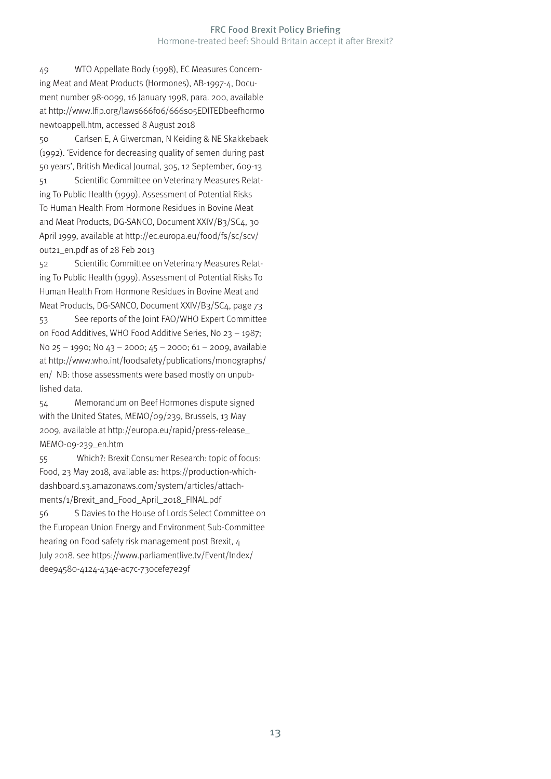#### FRC Food Brexit Policy Briefing Hormone-treated beef: Should Britain accept it after Brexit?

<span id="page-13-0"></span>[49](#page-8-0) WTO Appellate Body (1998), EC Measures Concerning Meat and Meat Products (Hormones), AB-1997-4, Document number 98-0099, 16 January 1998, para. 200, available at http://www.lfip.org/laws666f06/666s05EDITEDbeefhormo newtoappell.htm, accessed 8 August 2018

[50](#page-9-0) Carlsen E, A Giwercman, N Keiding & NE Skakkebaek (1992). 'Evidence for decreasing quality of semen during past 50 years', British Medical Journal, 305, 12 September, 609-13 [51](#page-9-0) Scientific Committee on Veterinary Measures Relating To Public Health (1999). Assessment of Potential Risks To Human Health From Hormone Residues in Bovine Meat and Meat Products, DG-SANCO, Document XXIV/B3/SC4, 30 April 1999, available at http://ec.europa.eu/food/fs/sc/scv/ out21\_en.pdf as of 28 Feb 2013

[52](#page-9-0) Scientific Committee on Veterinary Measures Relating To Public Health (1999). Assessment of Potential Risks To Human Health From Hormone Residues in Bovine Meat and Meat Products, DG-SANCO, Document XXIV/B3/SC4, page 73

[53](#page-9-0) See reports of the Joint FAO/WHO Expert Committee on Food Additives, WHO Food Additive Series, No 23 – 1987; No 25 – 1990; No 43 – 2000; 45 – 2000; 61 – 2009, available at http://www.who.int/foodsafety/publications/monographs/ en/ NB: those assessments were based mostly on unpublished data.

[54](#page-9-0) Memorandum on Beef Hormones dispute signed with the United States, MEMO/09/239, Brussels, 13 May 2009, available at http://europa.eu/rapid/press-release\_ MEMO-09-239\_en.htm

[55](#page-10-0) Which?: Brexit Consumer Research: topic of focus: Food, 23 May 2018, available as: https://production-whichdashboard.s3.amazonaws.com/system/articles/attachments/1/Brexit\_and\_Food\_April\_2018\_FINAL.pdf [56](#page-10-0) S Davies to the House of Lords Select Committee on the European Union Energy and Environment Sub-Committee hearing on Food safety risk management post Brexit, 4 July 2018. see https://www.parliamentlive.tv/Event/Index/ dee94580-4124-434e-ac7c-730cefe7e29f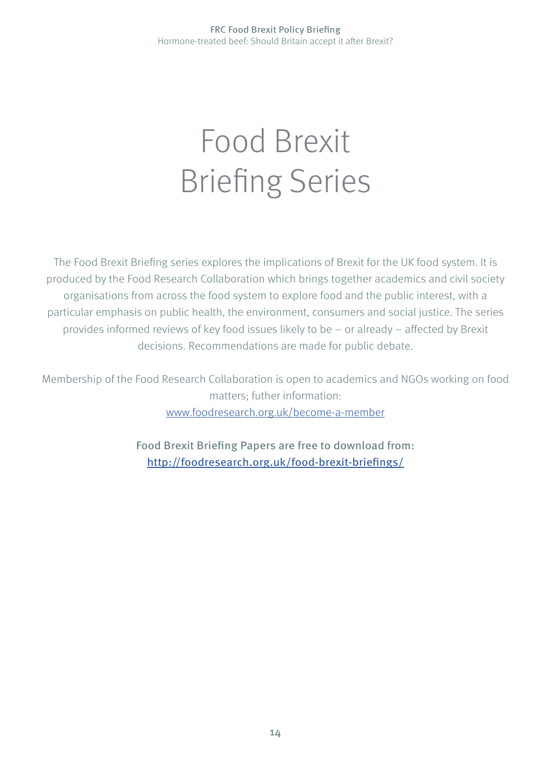## Food Brexit Briefing Series

The Food Brexit Briefing series explores the implications of Brexit for the UK food system. It is produced by the Food Research Collaboration which brings together academics and civil society organisations from across the food system to explore food and the public interest, with a particular emphasis on public health, the environment, consumers and social justice. The series provides informed reviews of key food issues likely to be – or already – affected by Brexit decisions. Recommendations are made for public debate.

Membership of the Food Research Collaboration is open to academics and NGOs working on food matters; futher information: [www.foodresearch.org.uk/become-a-member](http://foodresearch.org.uk/become-a-member )

Food Brexit Briefing Papers are free to download from:

<http://foodresearch.org.uk/food-brexit-briefings/>